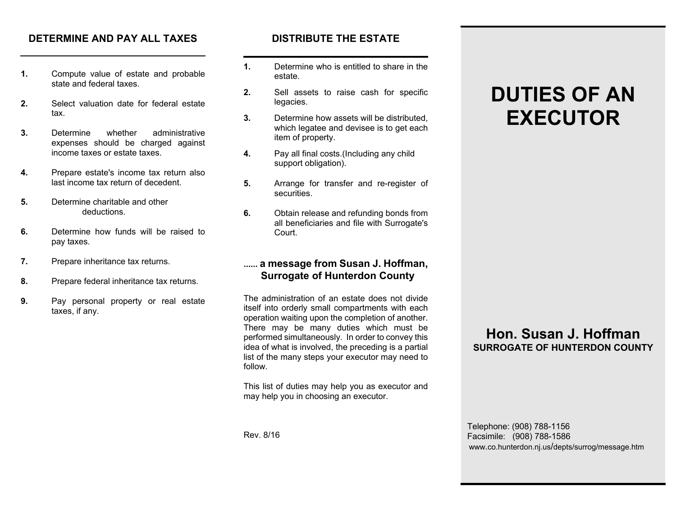### **DETERMINE AND PAY ALL TAXES**

- **1.** Compute value of estate and probable state and federal taxes.
- **2.** Select valuation date for federal estate tax.
- **3.** Determine whether administrative expenses should be charged against income taxes or estate taxes.
- **4.** Prepare estate's income tax return also last income tax return of decedent.
- **5.** Determine charitable and other deductions.
- **6.** Determine how funds will be raised to pay taxes.
- **7.** Prepare inheritance tax returns.
- **8.** Prepare federal inheritance tax returns.
- **9.** Pay personal property or real estate taxes, if any.

### **DISTRIBUTE THE ESTATE**

- **1.** Determine who is entitled to share in the estate.
- **2.** Sell assets to raise cash for specific legacies.
- **3.** Determine how assets will be distributed, which legatee and devisee is to get each item of property.
- **4.** Pay all final costs.(Including any child support obligation).
- **5.** Arrange for transfer and re-register of securities.
- **6.** Obtain release and refunding bonds from all beneficiaries and file with Surrogate's Court.

### **...... a message from Susan J. Hoffman, Surrogate of Hunterdon County**

The administration of an estate does not divide itself into orderly small compartments with each operation waiting upon the completion of another. There may be many duties which must be performed simultaneously. In order to convey this idea of what is involved, the preceding is a partial list of the many steps your executor may need to follow.

This list of duties may help you as executor and may help you in choosing an executor.

**DUTIES OF ANEXECUTOR**

## **Hon. Susan J. HoffmanSURROGATE OF HUNTERDON COUNTY**

 Telephone: (908) 788-1156 Facsimile: (908) 788-1586 www.co.hunterdon.nj.us/depts/surrog/message.htm

Rev. 8/16